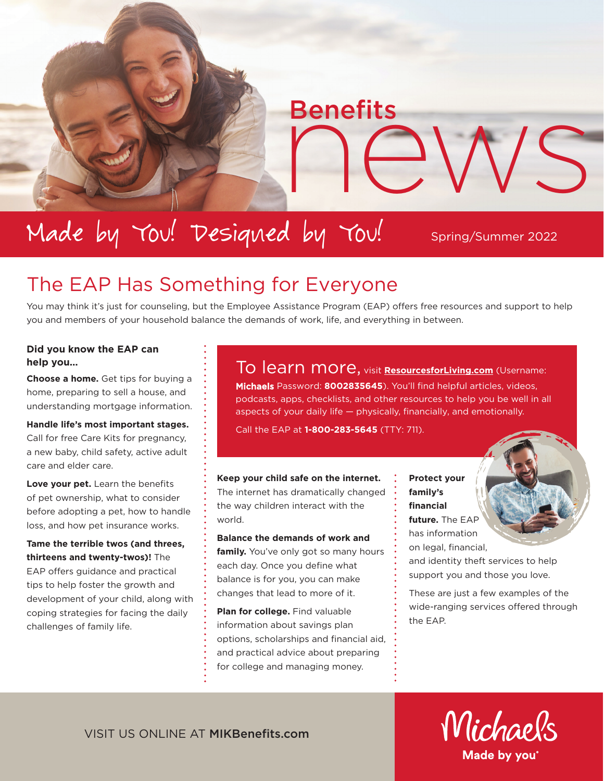# Made by You! Designed by You!

Spring/Summer 2022

Benefits<br>
news

# The EAP Has Something for Everyone

You may think it's just for counseling, but the Employee Assistance Program (EAP) offers free resources and support to help you and members of your household balance the demands of work, life, and everything in between.

#### **Did you know the EAP can help you…**

**Choose a home.** Get tips for buying a home, preparing to sell a house, and understanding mortgage information.

**Handle life's most important stages.** Call for free Care Kits for pregnancy, a new baby, child safety, active adult care and elder care.

**Love your pet.** Learn the benefits of pet ownership, what to consider before adopting a pet, how to handle loss, and how pet insurance works.

**Tame the terrible twos (and threes, thirteens and twenty-twos)!** The EAP offers guidance and practical tips to help foster the growth and development of your child, along with coping strategies for facing the daily challenges of family life.

#### To learn more, visit **[ResourcesforLiving.com](https://www.resourcesforliving.com/login)** (Username:

Michaels Password: **8002835645**). You'll find helpful articles, videos, podcasts, apps, checklists, and other resources to help you be well in all aspects of your daily life — physically, financially, and emotionally.

Call the EAP at **1-800-283-5645** (TTY: 711).

Benefits

**Keep your child safe on the internet.** The internet has dramatically changed the way children interact with the world.

**Balance the demands of work and family.** You've only got so many hours each day. Once you define what balance is for you, you can make changes that lead to more of it.

**Plan for college.** Find valuable information about savings plan options, scholarships and financial aid, and practical advice about preparing for college and managing money.

**Protect your family's financial future.** The EAP has information on legal, financial,

and identity theft services to help support you and those you love.

These are just a few examples of the wide-ranging services offered through the EAP.